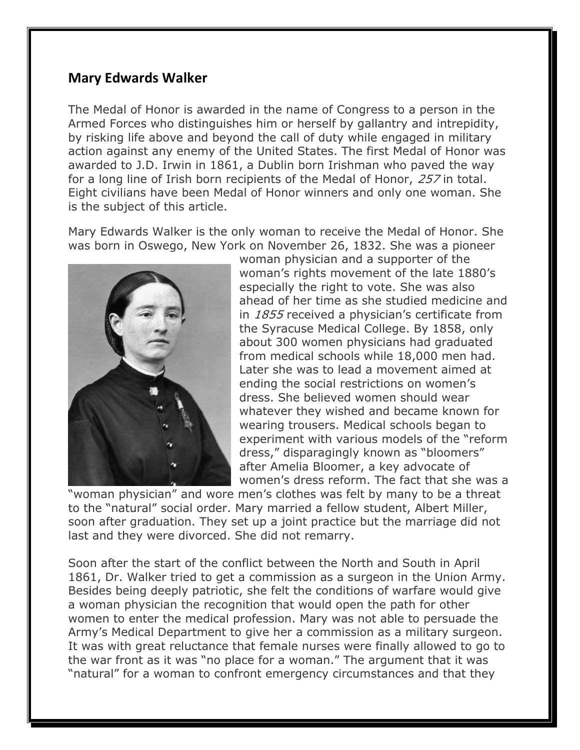## **Mary Edwards Walker**

The Medal of Honor is awarded in the name of Congress to a person in the Armed Forces who distinguishes him or herself by gallantry and intrepidity, by risking life above and beyond the call of duty while engaged in military action against any enemy of the United States. The first Medal of Honor was awarded to J.D. Irwin in 1861, a Dublin born Irishman who paved the way for a long line of Irish born recipients of the Medal of Honor, 257 in total. Eight civilians have been Medal of Honor winners and only one woman. She is the subject of this article.

Mary Edwards Walker is the only woman to receive the Medal of Honor. She was born in Oswego, New York on November 26, 1832. She was a pioneer



woman physician and a supporter of the woman's rights movement of the late 1880's especially the right to vote. She was also ahead of her time as she studied medicine and in 1855 received a physician's certificate from the Syracuse Medical College. By 1858, only about 300 women physicians had graduated from medical schools while 18,000 men had. Later she was to lead a movement aimed at ending the social restrictions on women's dress. She believed women should wear whatever they wished and became known for wearing trousers. Medical schools began to experiment with various models of the "reform dress," disparagingly known as "bloomers" after Amelia Bloomer, a key advocate of women's dress reform. The fact that she was a

"woman physician" and wore men's clothes was felt by many to be a threat to the "natural" social order. Mary married a fellow student, Albert Miller, soon after graduation. They set up a joint practice but the marriage did not last and they were divorced. She did not remarry.

Soon after the start of the conflict between the North and South in April 1861, Dr. Walker tried to get a commission as a surgeon in the Union Army. Besides being deeply patriotic, she felt the conditions of warfare would give a woman physician the recognition that would open the path for other women to enter the medical profession. Mary was not able to persuade the Army's Medical Department to give her a commission as a military surgeon. It was with great reluctance that female nurses were finally allowed to go to the war front as it was "no place for a woman." The argument that it was "natural" for a woman to confront emergency circumstances and that they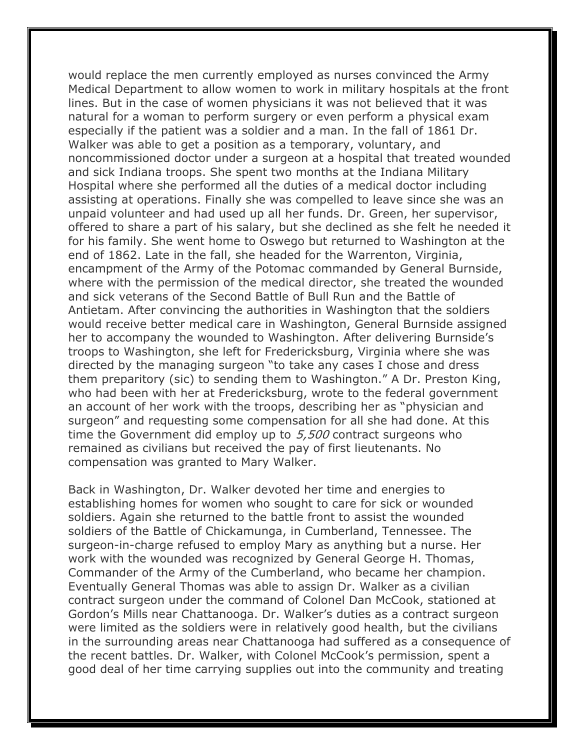would replace the men currently employed as nurses convinced the Army Medical Department to allow women to work in military hospitals at the front lines. But in the case of women physicians it was not believed that it was natural for a woman to perform surgery or even perform a physical exam especially if the patient was a soldier and a man. In the fall of 1861 Dr. Walker was able to get a position as a temporary, voluntary, and noncommissioned doctor under a surgeon at a hospital that treated wounded and sick Indiana troops. She spent two months at the Indiana Military Hospital where she performed all the duties of a medical doctor including assisting at operations. Finally she was compelled to leave since she was an unpaid volunteer and had used up all her funds. Dr. Green, her supervisor, offered to share a part of his salary, but she declined as she felt he needed it for his family. She went home to Oswego but returned to Washington at the end of 1862. Late in the fall, she headed for the Warrenton, Virginia, encampment of the Army of the Potomac commanded by General Burnside, where with the permission of the medical director, she treated the wounded and sick veterans of the Second Battle of Bull Run and the Battle of Antietam. After convincing the authorities in Washington that the soldiers would receive better medical care in Washington, General Burnside assigned her to accompany the wounded to Washington. After delivering Burnside's troops to Washington, she left for Fredericksburg, Virginia where she was directed by the managing surgeon "to take any cases I chose and dress them preparitory (sic) to sending them to Washington." A Dr. Preston King, who had been with her at Fredericksburg, wrote to the federal government an account of her work with the troops, describing her as "physician and surgeon" and requesting some compensation for all she had done. At this time the Government did employ up to 5,500 contract surgeons who remained as civilians but received the pay of first lieutenants. No compensation was granted to Mary Walker.

Back in Washington, Dr. Walker devoted her time and energies to establishing homes for women who sought to care for sick or wounded soldiers. Again she returned to the battle front to assist the wounded soldiers of the Battle of Chickamunga, in Cumberland, Tennessee. The surgeon-in-charge refused to employ Mary as anything but a nurse. Her work with the wounded was recognized by General George H. Thomas, Commander of the Army of the Cumberland, who became her champion. Eventually General Thomas was able to assign Dr. Walker as a civilian contract surgeon under the command of Colonel Dan McCook, stationed at Gordon's Mills near Chattanooga. Dr. Walker's duties as a contract surgeon were limited as the soldiers were in relatively good health, but the civilians in the surrounding areas near Chattanooga had suffered as a consequence of the recent battles. Dr. Walker, with Colonel McCook's permission, spent a good deal of her time carrying supplies out into the community and treating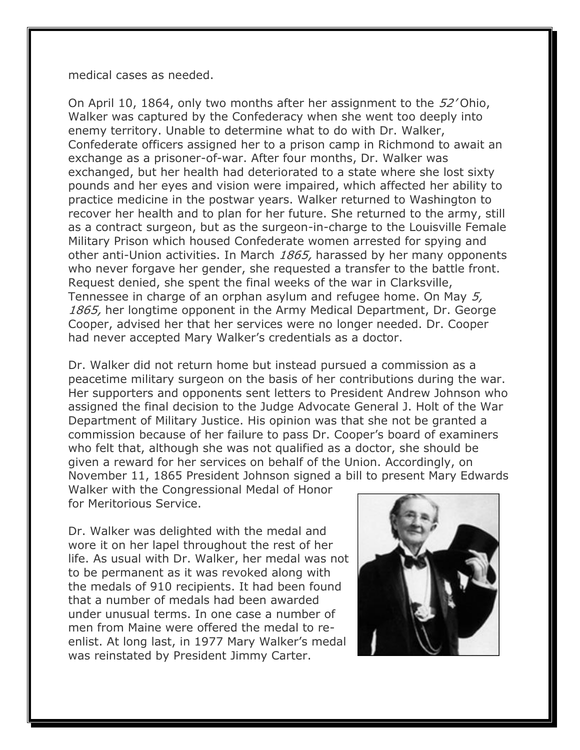medical cases as needed.

On April 10, 1864, only two months after her assignment to the 52'Ohio, Walker was captured by the Confederacy when she went too deeply into enemy territory. Unable to determine what to do with Dr. Walker, Confederate officers assigned her to a prison camp in Richmond to await an exchange as a prisoner-of-war. After four months, Dr. Walker was exchanged, but her health had deteriorated to a state where she lost sixty pounds and her eyes and vision were impaired, which affected her ability to practice medicine in the postwar years. Walker returned to Washington to recover her health and to plan for her future. She returned to the army, still as a contract surgeon, but as the surgeon-in-charge to the Louisville Female Military Prison which housed Confederate women arrested for spying and other anti-Union activities. In March 1865, harassed by her many opponents who never forgave her gender, she requested a transfer to the battle front. Request denied, she spent the final weeks of the war in Clarksville, Tennessee in charge of an orphan asylum and refugee home. On May 5, 1865, her longtime opponent in the Army Medical Department, Dr. George Cooper, advised her that her services were no longer needed. Dr. Cooper had never accepted Mary Walker's credentials as a doctor.

Dr. Walker did not return home but instead pursued a commission as a peacetime military surgeon on the basis of her contributions during the war. Her supporters and opponents sent letters to President Andrew Johnson who assigned the final decision to the Judge Advocate General J. Holt of the War Department of Military Justice. His opinion was that she not be granted a commission because of her failure to pass Dr. Cooper's board of examiners who felt that, although she was not qualified as a doctor, she should be given a reward for her services on behalf of the Union. Accordingly, on November 11, 1865 President Johnson signed a bill to present Mary Edwards

Walker with the Congressional Medal of Honor for Meritorious Service.

Dr. Walker was delighted with the medal and wore it on her lapel throughout the rest of her life. As usual with Dr. Walker, her medal was not to be permanent as it was revoked along with the medals of 910 recipients. It had been found that a number of medals had been awarded under unusual terms. In one case a number of men from Maine were offered the medal to reenlist. At long last, in 1977 Mary Walker's medal was reinstated by President Jimmy Carter.